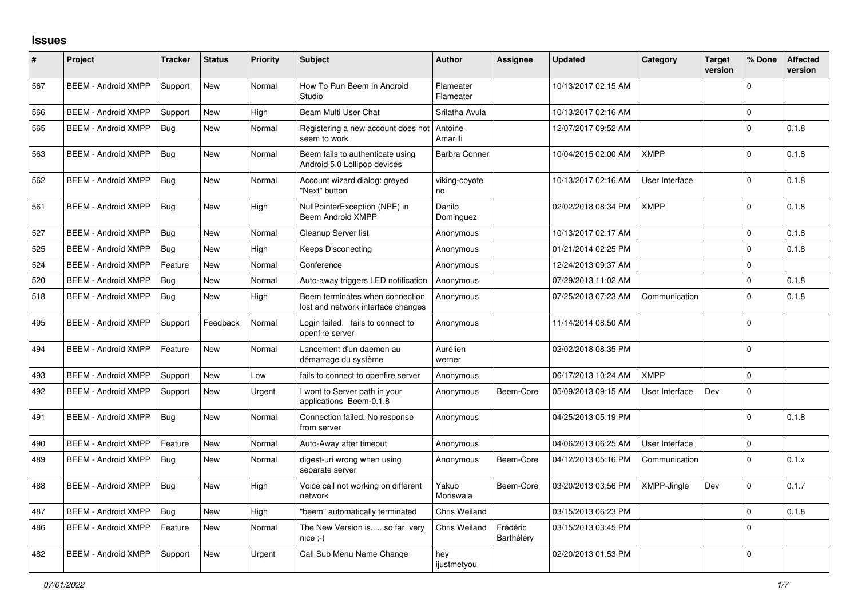## **Issues**

| #   | Project                    | <b>Tracker</b> | <b>Status</b> | Priority | <b>Subject</b>                                                        | <b>Author</b>          | <b>Assignee</b>        | <b>Updated</b>      | Category       | <b>Target</b><br>version | % Done   | <b>Affected</b><br>version |
|-----|----------------------------|----------------|---------------|----------|-----------------------------------------------------------------------|------------------------|------------------------|---------------------|----------------|--------------------------|----------|----------------------------|
| 567 | <b>BEEM - Android XMPP</b> | Support        | <b>New</b>    | Normal   | How To Run Beem In Android<br>Studio                                  | Flameater<br>Flameater |                        | 10/13/2017 02:15 AM |                |                          | $\Omega$ |                            |
| 566 | <b>BEEM - Android XMPP</b> | Support        | <b>New</b>    | High     | Beam Multi User Chat                                                  | Srilatha Avula         |                        | 10/13/2017 02:16 AM |                |                          | $\Omega$ |                            |
| 565 | <b>BEEM - Android XMPP</b> | Bua            | <b>New</b>    | Normal   | Registering a new account does not<br>seem to work                    | Antoine<br>Amarilli    |                        | 12/07/2017 09:52 AM |                |                          | $\Omega$ | 0.1.8                      |
| 563 | <b>BEEM - Android XMPP</b> | Bug            | <b>New</b>    | Normal   | Beem fails to authenticate using<br>Android 5.0 Lollipop devices      | <b>Barbra Conner</b>   |                        | 10/04/2015 02:00 AM | <b>XMPP</b>    |                          | $\Omega$ | 0.1.8                      |
| 562 | <b>BEEM - Android XMPP</b> | Bug            | <b>New</b>    | Normal   | Account wizard dialog: greyed<br>"Next" button                        | viking-coyote<br>no    |                        | 10/13/2017 02:16 AM | User Interface |                          | $\Omega$ | 0.1.8                      |
| 561 | <b>BEEM - Android XMPP</b> | Bug            | <b>New</b>    | High     | NullPointerException (NPE) in<br><b>Beem Android XMPP</b>             | Danilo<br>Dominguez    |                        | 02/02/2018 08:34 PM | <b>XMPP</b>    |                          | $\Omega$ | 0.1.8                      |
| 527 | <b>BEEM - Android XMPP</b> | Bug            | <b>New</b>    | Normal   | Cleanup Server list                                                   | Anonymous              |                        | 10/13/2017 02:17 AM |                |                          | $\Omega$ | 0.1.8                      |
| 525 | <b>BEEM - Android XMPP</b> | Bug            | New           | High     | Keeps Disconecting                                                    | Anonymous              |                        | 01/21/2014 02:25 PM |                |                          | $\Omega$ | 0.1.8                      |
| 524 | <b>BEEM - Android XMPP</b> | Feature        | <b>New</b>    | Normal   | Conference                                                            | Anonymous              |                        | 12/24/2013 09:37 AM |                |                          | $\Omega$ |                            |
| 520 | <b>BEEM - Android XMPP</b> | <b>Bug</b>     | <b>New</b>    | Normal   | Auto-away triggers LED notification                                   | Anonymous              |                        | 07/29/2013 11:02 AM |                |                          | $\Omega$ | 0.1.8                      |
| 518 | <b>BEEM - Android XMPP</b> | <b>Bug</b>     | <b>New</b>    | High     | Beem terminates when connection<br>lost and network interface changes | Anonymous              |                        | 07/25/2013 07:23 AM | Communication  |                          | $\Omega$ | 0.1.8                      |
| 495 | <b>BEEM - Android XMPP</b> | Support        | Feedback      | Normal   | Login failed. fails to connect to<br>openfire server                  | Anonymous              |                        | 11/14/2014 08:50 AM |                |                          | $\Omega$ |                            |
| 494 | <b>BEEM - Android XMPP</b> | Feature        | <b>New</b>    | Normal   | Lancement d'un daemon au<br>démarrage du système                      | Aurélien<br>werner     |                        | 02/02/2018 08:35 PM |                |                          | $\Omega$ |                            |
| 493 | <b>BEEM - Android XMPP</b> | Support        | <b>New</b>    | Low      | fails to connect to openfire server                                   | Anonymous              |                        | 06/17/2013 10:24 AM | <b>XMPP</b>    |                          | $\Omega$ |                            |
| 492 | <b>BEEM - Android XMPP</b> | Support        | <b>New</b>    | Urgent   | I wont to Server path in your<br>applications Beem-0.1.8              | Anonymous              | Beem-Core              | 05/09/2013 09:15 AM | User Interface | Dev                      | $\Omega$ |                            |
| 491 | <b>BEEM - Android XMPP</b> | Bug            | <b>New</b>    | Normal   | Connection failed. No response<br>from server                         | Anonymous              |                        | 04/25/2013 05:19 PM |                |                          | $\Omega$ | 0.1.8                      |
| 490 | <b>BEEM - Android XMPP</b> | Feature        | <b>New</b>    | Normal   | Auto-Away after timeout                                               | Anonymous              |                        | 04/06/2013 06:25 AM | User Interface |                          | $\Omega$ |                            |
| 489 | <b>BEEM - Android XMPP</b> | <b>Bug</b>     | <b>New</b>    | Normal   | digest-uri wrong when using<br>separate server                        | Anonymous              | Beem-Core              | 04/12/2013 05:16 PM | Communication  |                          | $\Omega$ | 0.1.x                      |
| 488 | <b>BEEM - Android XMPP</b> | Bug            | <b>New</b>    | High     | Voice call not working on different<br>network                        | Yakub<br>Moriswala     | Beem-Core              | 03/20/2013 03:56 PM | XMPP-Jingle    | Dev                      | $\Omega$ | 0.1.7                      |
| 487 | <b>BEEM - Android XMPP</b> | Bug            | <b>New</b>    | High     | "beem" automatically terminated                                       | <b>Chris Weiland</b>   |                        | 03/15/2013 06:23 PM |                |                          | $\Omega$ | 0.1.8                      |
| 486 | <b>BEEM - Android XMPP</b> | Feature        | <b>New</b>    | Normal   | The New Version isso far very<br>$nice; -)$                           | Chris Weiland          | Frédéric<br>Barthéléry | 03/15/2013 03:45 PM |                |                          | $\Omega$ |                            |
| 482 | <b>BEEM - Android XMPP</b> | Support        | New           | Urgent   | Call Sub Menu Name Change                                             | hey<br>ijustmetyou     |                        | 02/20/2013 01:53 PM |                |                          | $\Omega$ |                            |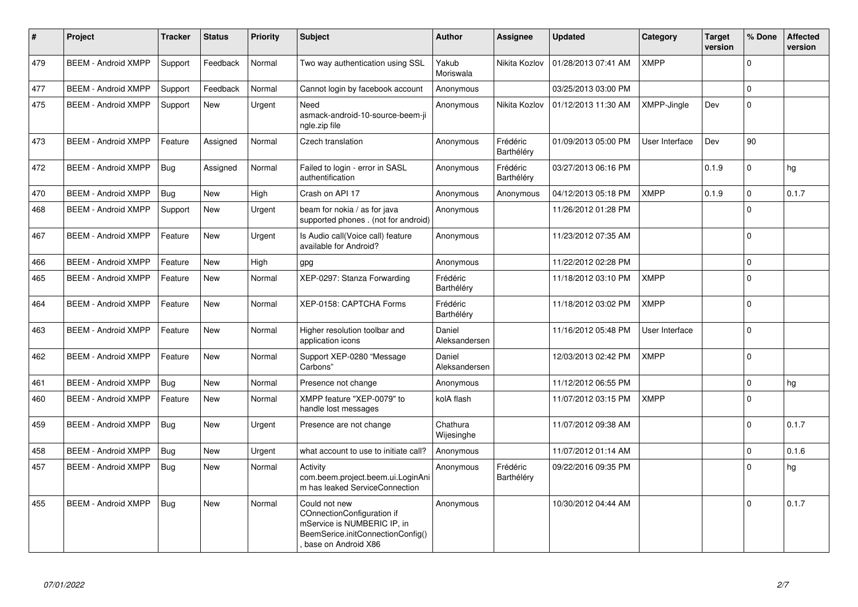| $\#$ | Project                    | <b>Tracker</b> | <b>Status</b> | <b>Priority</b> | <b>Subject</b>                                                                                                                         | <b>Author</b>           | <b>Assignee</b>        | <b>Updated</b>      | Category       | <b>Target</b><br>version | % Done   | <b>Affected</b><br>version |
|------|----------------------------|----------------|---------------|-----------------|----------------------------------------------------------------------------------------------------------------------------------------|-------------------------|------------------------|---------------------|----------------|--------------------------|----------|----------------------------|
| 479  | <b>BEEM - Android XMPP</b> | Support        | Feedback      | Normal          | Two way authentication using SSL                                                                                                       | Yakub<br>Moriswala      | Nikita Kozlov          | 01/28/2013 07:41 AM | <b>XMPP</b>    |                          | $\Omega$ |                            |
| 477  | <b>BEEM - Android XMPP</b> | Support        | Feedback      | Normal          | Cannot login by facebook account                                                                                                       | Anonymous               |                        | 03/25/2013 03:00 PM |                |                          | $\Omega$ |                            |
| 475  | <b>BEEM - Android XMPP</b> | Support        | <b>New</b>    | Urgent          | Need<br>asmack-android-10-source-beem-ji<br>ngle.zip file                                                                              | Anonymous               | Nikita Kozlov          | 01/12/2013 11:30 AM | XMPP-Jingle    | Dev                      | $\Omega$ |                            |
| 473  | <b>BEEM - Android XMPP</b> | Feature        | Assigned      | Normal          | Czech translation                                                                                                                      | Anonymous               | Frédéric<br>Barthéléry | 01/09/2013 05:00 PM | User Interface | Dev                      | 90       |                            |
| 472  | <b>BEEM - Android XMPP</b> | <b>Bug</b>     | Assigned      | Normal          | Failed to login - error in SASL<br>authentification                                                                                    | Anonymous               | Frédéric<br>Barthéléry | 03/27/2013 06:16 PM |                | 0.1.9                    | $\Omega$ | hg                         |
| 470  | <b>BEEM - Android XMPP</b> | Bug            | <b>New</b>    | High            | Crash on API 17                                                                                                                        | Anonymous               | Anonymous              | 04/12/2013 05:18 PM | <b>XMPP</b>    | 0.1.9                    | $\Omega$ | 0.1.7                      |
| 468  | <b>BEEM - Android XMPP</b> | Support        | New           | Urgent          | beam for nokia / as for java<br>supported phones . (not for android)                                                                   | Anonymous               |                        | 11/26/2012 01:28 PM |                |                          | $\Omega$ |                            |
| 467  | <b>BEEM - Android XMPP</b> | Feature        | <b>New</b>    | Urgent          | Is Audio call(Voice call) feature<br>available for Android?                                                                            | Anonymous               |                        | 11/23/2012 07:35 AM |                |                          | $\Omega$ |                            |
| 466  | <b>BEEM - Android XMPP</b> | Feature        | <b>New</b>    | High            | gpg                                                                                                                                    | Anonymous               |                        | 11/22/2012 02:28 PM |                |                          | $\Omega$ |                            |
| 465  | <b>BEEM - Android XMPP</b> | Feature        | <b>New</b>    | Normal          | XEP-0297: Stanza Forwarding                                                                                                            | Frédéric<br>Barthéléry  |                        | 11/18/2012 03:10 PM | <b>XMPP</b>    |                          | $\Omega$ |                            |
| 464  | <b>BEEM - Android XMPP</b> | Feature        | <b>New</b>    | Normal          | XEP-0158: CAPTCHA Forms                                                                                                                | Frédéric<br>Barthéléry  |                        | 11/18/2012 03:02 PM | <b>XMPP</b>    |                          | $\Omega$ |                            |
| 463  | <b>BEEM - Android XMPP</b> | Feature        | <b>New</b>    | Normal          | Higher resolution toolbar and<br>application icons                                                                                     | Daniel<br>Aleksandersen |                        | 11/16/2012 05:48 PM | User Interface |                          | $\Omega$ |                            |
| 462  | <b>BEEM - Android XMPP</b> | Feature        | <b>New</b>    | Normal          | Support XEP-0280 "Message<br>Carbons"                                                                                                  | Daniel<br>Aleksandersen |                        | 12/03/2013 02:42 PM | <b>XMPP</b>    |                          | $\Omega$ |                            |
| 461  | <b>BEEM - Android XMPP</b> | Bug            | New           | Normal          | Presence not change                                                                                                                    | Anonymous               |                        | 11/12/2012 06:55 PM |                |                          | $\Omega$ | hg                         |
| 460  | <b>BEEM - Android XMPP</b> | Feature        | <b>New</b>    | Normal          | XMPP feature "XEP-0079" to<br>handle lost messages                                                                                     | kolA flash              |                        | 11/07/2012 03:15 PM | <b>XMPP</b>    |                          | $\Omega$ |                            |
| 459  | <b>BEEM - Android XMPP</b> | Bug            | <b>New</b>    | Urgent          | Presence are not change                                                                                                                | Chathura<br>Wijesinghe  |                        | 11/07/2012 09:38 AM |                |                          | $\Omega$ | 0.1.7                      |
| 458  | <b>BEEM - Android XMPP</b> | <b>Bug</b>     | <b>New</b>    | Urgent          | what account to use to initiate call?                                                                                                  | Anonymous               |                        | 11/07/2012 01:14 AM |                |                          | $\Omega$ | 0.1.6                      |
| 457  | <b>BEEM - Android XMPP</b> | Bug            | <b>New</b>    | Normal          | Activity<br>com.beem.project.beem.ui.LoginAni<br>m has leaked ServiceConnection                                                        | Anonymous               | Frédéric<br>Barthéléry | 09/22/2016 09:35 PM |                |                          | $\Omega$ | hg                         |
| 455  | <b>BEEM - Android XMPP</b> | Bug            | <b>New</b>    | Normal          | Could not new<br>COnnectionConfiguration if<br>mService is NUMBERIC IP, in<br>BeemSerice.initConnectionConfig()<br>base on Android X86 | Anonymous               |                        | 10/30/2012 04:44 AM |                |                          | $\Omega$ | 0.1.7                      |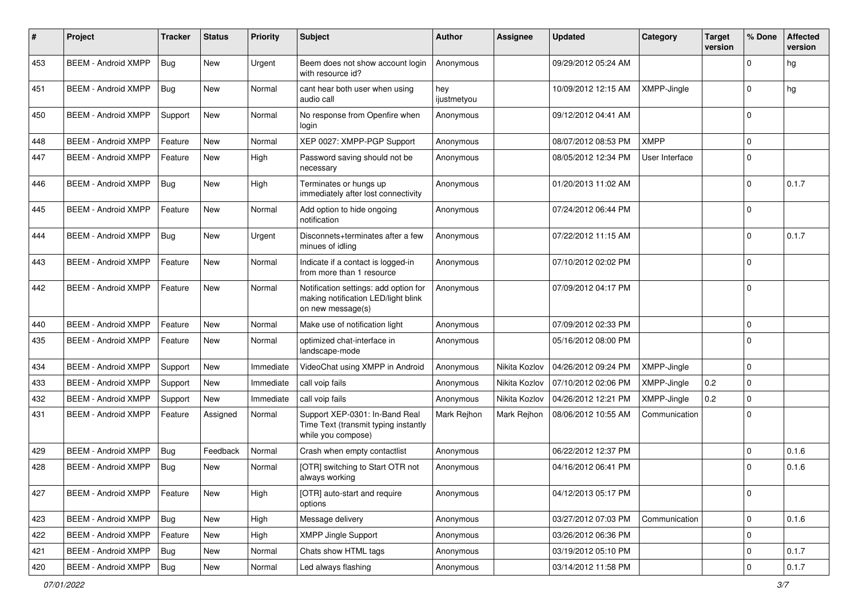| #   | Project                    | <b>Tracker</b> | <b>Status</b> | <b>Priority</b> | Subject                                                                                           | <b>Author</b>      | Assignee      | <b>Updated</b>      | Category       | <b>Target</b><br>version | % Done      | <b>Affected</b><br>version |
|-----|----------------------------|----------------|---------------|-----------------|---------------------------------------------------------------------------------------------------|--------------------|---------------|---------------------|----------------|--------------------------|-------------|----------------------------|
| 453 | <b>BEEM - Android XMPP</b> | Bug            | <b>New</b>    | Urgent          | Beem does not show account login<br>with resource id?                                             | Anonymous          |               | 09/29/2012 05:24 AM |                |                          | $\Omega$    | hg                         |
| 451 | <b>BEEM - Android XMPP</b> | <b>Bug</b>     | New           | Normal          | cant hear both user when using<br>audio call                                                      | hey<br>ijustmetyou |               | 10/09/2012 12:15 AM | XMPP-Jingle    |                          | $\Omega$    | hg                         |
| 450 | <b>BEEM - Android XMPP</b> | Support        | <b>New</b>    | Normal          | No response from Openfire when<br>login                                                           | Anonymous          |               | 09/12/2012 04:41 AM |                |                          | $\Omega$    |                            |
| 448 | <b>BEEM - Android XMPP</b> | Feature        | <b>New</b>    | Normal          | XEP 0027: XMPP-PGP Support                                                                        | Anonymous          |               | 08/07/2012 08:53 PM | <b>XMPP</b>    |                          | $\mathbf 0$ |                            |
| 447 | <b>BEEM - Android XMPP</b> | Feature        | <b>New</b>    | High            | Password saving should not be<br>necessary                                                        | Anonymous          |               | 08/05/2012 12:34 PM | User Interface |                          | $\Omega$    |                            |
| 446 | <b>BEEM - Android XMPP</b> | <b>Bug</b>     | New           | High            | Terminates or hungs up<br>immediately after lost connectivity                                     | Anonymous          |               | 01/20/2013 11:02 AM |                |                          | $\Omega$    | 0.1.7                      |
| 445 | <b>BEEM - Android XMPP</b> | Feature        | <b>New</b>    | Normal          | Add option to hide ongoing<br>notification                                                        | Anonymous          |               | 07/24/2012 06:44 PM |                |                          | $\mathbf 0$ |                            |
| 444 | <b>BEEM - Android XMPP</b> | <b>Bug</b>     | New           | Urgent          | Disconnets+terminates after a few<br>minues of idling                                             | Anonymous          |               | 07/22/2012 11:15 AM |                |                          | $\Omega$    | 0.1.7                      |
| 443 | <b>BEEM - Android XMPP</b> | Feature        | <b>New</b>    | Normal          | Indicate if a contact is logged-in<br>from more than 1 resource                                   | Anonymous          |               | 07/10/2012 02:02 PM |                |                          | $\mathbf 0$ |                            |
| 442 | <b>BEEM - Android XMPP</b> | Feature        | <b>New</b>    | Normal          | Notification settings: add option for<br>making notification LED/light blink<br>on new message(s) | Anonymous          |               | 07/09/2012 04:17 PM |                |                          | $\Omega$    |                            |
| 440 | <b>BEEM - Android XMPP</b> | Feature        | <b>New</b>    | Normal          | Make use of notification light                                                                    | Anonymous          |               | 07/09/2012 02:33 PM |                |                          | $\mathbf 0$ |                            |
| 435 | <b>BEEM - Android XMPP</b> | Feature        | New           | Normal          | optimized chat-interface in<br>landscape-mode                                                     | Anonymous          |               | 05/16/2012 08:00 PM |                |                          | $\Omega$    |                            |
| 434 | <b>BEEM - Android XMPP</b> | Support        | <b>New</b>    | Immediate       | VideoChat using XMPP in Android                                                                   | Anonymous          | Nikita Kozlov | 04/26/2012 09:24 PM | XMPP-Jingle    |                          | $\mathbf 0$ |                            |
| 433 | <b>BEEM - Android XMPP</b> | Support        | New           | Immediate       | call voip fails                                                                                   | Anonymous          | Nikita Kozlov | 07/10/2012 02:06 PM | XMPP-Jingle    | 0.2                      | $\mathbf 0$ |                            |
| 432 | <b>BEEM - Android XMPP</b> | Support        | <b>New</b>    | Immediate       | call voip fails                                                                                   | Anonymous          | Nikita Kozlov | 04/26/2012 12:21 PM | XMPP-Jingle    | 0.2                      | $\Omega$    |                            |
| 431 | <b>BEEM - Android XMPP</b> | Feature        | Assigned      | Normal          | Support XEP-0301: In-Band Real<br>Time Text (transmit typing instantly<br>while you compose)      | Mark Rejhon        | Mark Rejhon   | 08/06/2012 10:55 AM | Communication  |                          | $\Omega$    |                            |
| 429 | <b>BEEM - Android XMPP</b> | Bug            | Feedback      | Normal          | Crash when empty contactlist                                                                      | Anonymous          |               | 06/22/2012 12:37 PM |                |                          | $\Omega$    | 0.1.6                      |
| 428 | <b>BEEM - Android XMPP</b> | <b>Bug</b>     | New           | Normal          | [OTR] switching to Start OTR not<br>always working                                                | Anonymous          |               | 04/16/2012 06:41 PM |                |                          | $\Omega$    | 0.1.6                      |
| 427 | <b>BEEM - Android XMPP</b> | Feature        | <b>New</b>    | High            | [OTR] auto-start and require<br>options                                                           | Anonymous          |               | 04/12/2013 05:17 PM |                |                          | 0           |                            |
| 423 | <b>BEEM - Android XMPP</b> | Bug            | New           | High            | Message delivery                                                                                  | Anonymous          |               | 03/27/2012 07:03 PM | Communication  |                          | $\mathbf 0$ | 0.1.6                      |
| 422 | <b>BEEM - Android XMPP</b> | Feature        | <b>New</b>    | High            | <b>XMPP Jingle Support</b>                                                                        | Anonymous          |               | 03/26/2012 06:36 PM |                |                          | $\mathbf 0$ |                            |
| 421 | <b>BEEM - Android XMPP</b> | Bug            | New           | Normal          | Chats show HTML tags                                                                              | Anonymous          |               | 03/19/2012 05:10 PM |                |                          | 0           | 0.1.7                      |
| 420 | <b>BEEM - Android XMPP</b> | <b>Bug</b>     | New           | Normal          | Led always flashing                                                                               | Anonymous          |               | 03/14/2012 11:58 PM |                |                          | $\mathbf 0$ | 0.1.7                      |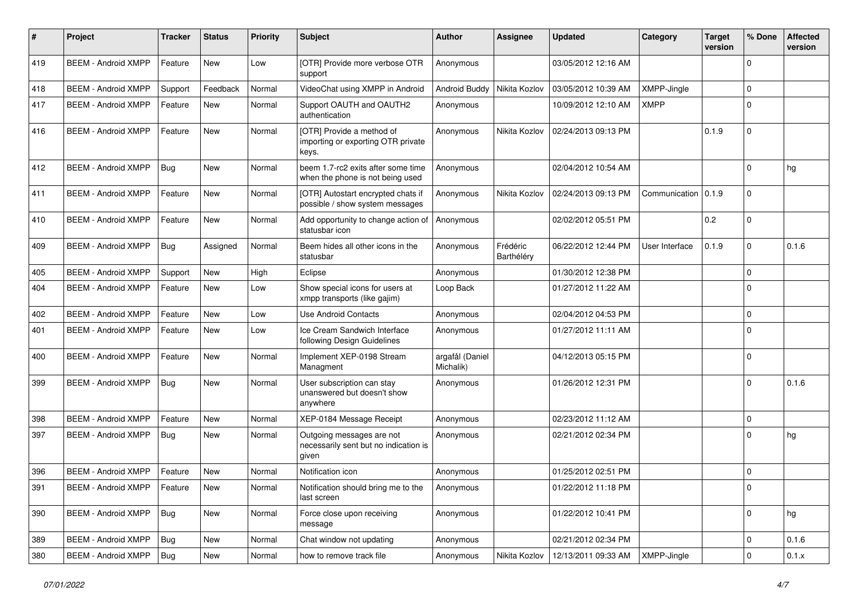| #   | Project                       | <b>Tracker</b> | <b>Status</b> | <b>Priority</b> | <b>Subject</b>                                                              | <b>Author</b>                | Assignee               | <b>Updated</b>      | Category           | <b>Target</b><br>version | % Done      | <b>Affected</b><br>version |
|-----|-------------------------------|----------------|---------------|-----------------|-----------------------------------------------------------------------------|------------------------------|------------------------|---------------------|--------------------|--------------------------|-------------|----------------------------|
| 419 | <b>BEEM - Android XMPP</b>    | Feature        | <b>New</b>    | Low             | [OTR] Provide more verbose OTR<br>support                                   | Anonymous                    |                        | 03/05/2012 12:16 AM |                    |                          | $\Omega$    |                            |
| 418 | <b>BEEM - Android XMPP</b>    | Support        | Feedback      | Normal          | VideoChat using XMPP in Android                                             | Android Buddy                | Nikita Kozlov          | 03/05/2012 10:39 AM | <b>XMPP-Jingle</b> |                          | $\Omega$    |                            |
| 417 | <b>BEEM - Android XMPP</b>    | Feature        | New           | Normal          | Support OAUTH and OAUTH2<br>authentication                                  | Anonymous                    |                        | 10/09/2012 12:10 AM | <b>XMPP</b>        |                          | $\Omega$    |                            |
| 416 | <b>BEEM - Android XMPP</b>    | Feature        | <b>New</b>    | Normal          | [OTR] Provide a method of<br>importing or exporting OTR private<br>keys.    | Anonymous                    | Nikita Kozlov          | 02/24/2013 09:13 PM |                    | 0.1.9                    | $\Omega$    |                            |
| 412 | <b>BEEM - Android XMPP</b>    | Bug            | <b>New</b>    | Normal          | beem 1.7-rc2 exits after some time<br>when the phone is not being used      | Anonymous                    |                        | 02/04/2012 10:54 AM |                    |                          | $\Omega$    | hg                         |
| 411 | <b>BEEM - Android XMPP</b>    | Feature        | <b>New</b>    | Normal          | [OTR] Autostart encrypted chats if<br>possible / show system messages       | Anonymous                    | Nikita Kozlov          | 02/24/2013 09:13 PM | Communication      | 0.1.9                    | $\Omega$    |                            |
| 410 | <b>BEEM - Android XMPP</b>    | Feature        | <b>New</b>    | Normal          | Add opportunity to change action of<br>statusbar icon                       | Anonymous                    |                        | 02/02/2012 05:51 PM |                    | 0.2                      | $\Omega$    |                            |
| 409 | <b>BEEM - Android XMPP</b>    | <b>Bug</b>     | Assigned      | Normal          | Beem hides all other icons in the<br>statusbar                              | Anonymous                    | Frédéric<br>Barthéléry | 06/22/2012 12:44 PM | User Interface     | 0.1.9                    | $\Omega$    | 0.1.6                      |
| 405 | <b>BEEM - Android XMPP</b>    | Support        | New           | High            | Eclipse                                                                     | Anonymous                    |                        | 01/30/2012 12:38 PM |                    |                          | $\Omega$    |                            |
| 404 | <b>BEEM - Android XMPP</b>    | Feature        | <b>New</b>    | Low             | Show special icons for users at<br>xmpp transports (like gajim)             | Loop Back                    |                        | 01/27/2012 11:22 AM |                    |                          | $\Omega$    |                            |
| 402 | <b>BEEM - Android XMPP</b>    | Feature        | <b>New</b>    | Low             | <b>Use Android Contacts</b>                                                 | Anonymous                    |                        | 02/04/2012 04:53 PM |                    |                          | $\Omega$    |                            |
| 401 | <b>BEEM - Android XMPP</b>    | Feature        | <b>New</b>    | Low             | Ice Cream Sandwich Interface<br>following Design Guidelines                 | Anonymous                    |                        | 01/27/2012 11:11 AM |                    |                          | $\Omega$    |                            |
| 400 | <b>BEEM - Android XMPP</b>    | Feature        | <b>New</b>    | Normal          | Implement XEP-0198 Stream<br>Managment                                      | argafål (Daniel<br>Michalik) |                        | 04/12/2013 05:15 PM |                    |                          | $\Omega$    |                            |
| 399 | <b>BEEM - Android XMPP</b>    | Bug            | New           | Normal          | User subscription can stay<br>unanswered but doesn't show<br>anywhere       | Anonymous                    |                        | 01/26/2012 12:31 PM |                    |                          | $\Omega$    | 0.1.6                      |
| 398 | <b>BEEM - Android XMPP</b>    | Feature        | <b>New</b>    | Normal          | XEP-0184 Message Receipt                                                    | Anonymous                    |                        | 02/23/2012 11:12 AM |                    |                          | $\Omega$    |                            |
| 397 | <b>BEEM - Android XMPP</b>    | Bug            | New           | Normal          | Outgoing messages are not<br>necessarily sent but no indication is<br>given | Anonymous                    |                        | 02/21/2012 02:34 PM |                    |                          | $\Omega$    | hg                         |
| 396 | <b>BEEM - Android XMPP</b>    | Feature        | New           | Normal          | Notification icon                                                           | Anonymous                    |                        | 01/25/2012 02:51 PM |                    |                          | $\Omega$    |                            |
| 391 | BEEM - Android XMPP   Feature |                | New           | Normal          | Notification should bring me to the<br>last screen                          | Anonymous                    |                        | 01/22/2012 11:18 PM |                    |                          | 0           |                            |
| 390 | <b>BEEM - Android XMPP</b>    | <b>Bug</b>     | New           | Normal          | Force close upon receiving<br>message                                       | Anonymous                    |                        | 01/22/2012 10:41 PM |                    |                          | $\mathbf 0$ | hg                         |
| 389 | <b>BEEM - Android XMPP</b>    | Bug            | <b>New</b>    | Normal          | Chat window not updating                                                    | Anonymous                    |                        | 02/21/2012 02:34 PM |                    |                          | $\mathbf 0$ | 0.1.6                      |
| 380 | <b>BEEM - Android XMPP</b>    | Bug            | New           | Normal          | how to remove track file                                                    | Anonymous                    | Nikita Kozlov          | 12/13/2011 09:33 AM | XMPP-Jingle        |                          | $\mathbf 0$ | 0.1.x                      |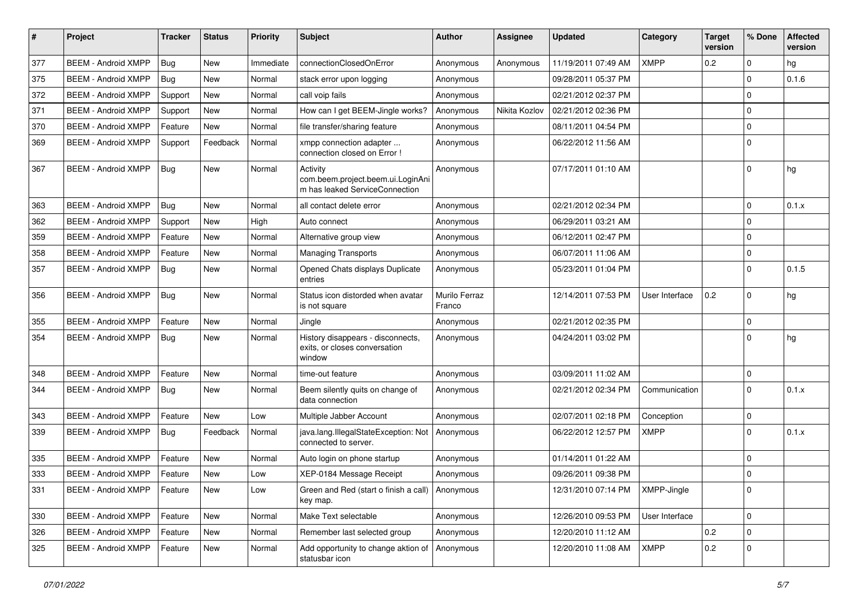| #   | Project                    | <b>Tracker</b> | <b>Status</b> | <b>Priority</b> | Subject                                                                         | Author                  | <b>Assignee</b> | <b>Updated</b>      | Category       | <b>Target</b><br>version | % Done      | <b>Affected</b><br>version |
|-----|----------------------------|----------------|---------------|-----------------|---------------------------------------------------------------------------------|-------------------------|-----------------|---------------------|----------------|--------------------------|-------------|----------------------------|
| 377 | <b>BEEM - Android XMPP</b> | <b>Bug</b>     | <b>New</b>    | Immediate       | connectionClosedOnError                                                         | Anonymous               | Anonymous       | 11/19/2011 07:49 AM | <b>XMPP</b>    | 0.2                      | $\mathbf 0$ | hg                         |
| 375 | <b>BEEM - Android XMPP</b> | Bug            | New           | Normal          | stack error upon logging                                                        | Anonymous               |                 | 09/28/2011 05:37 PM |                |                          | $\mathbf 0$ | 0.1.6                      |
| 372 | <b>BEEM - Android XMPP</b> | Support        | New           | Normal          | call voip fails                                                                 | Anonymous               |                 | 02/21/2012 02:37 PM |                |                          | $\Omega$    |                            |
| 371 | <b>BEEM - Android XMPP</b> | Support        | <b>New</b>    | Normal          | How can I get BEEM-Jingle works?                                                | Anonymous               | Nikita Kozlov   | 02/21/2012 02:36 PM |                |                          | $\mathbf 0$ |                            |
| 370 | <b>BEEM - Android XMPP</b> | Feature        | <b>New</b>    | Normal          | file transfer/sharing feature                                                   | Anonymous               |                 | 08/11/2011 04:54 PM |                |                          | $\mathbf 0$ |                            |
| 369 | <b>BEEM - Android XMPP</b> | Support        | Feedback      | Normal          | xmpp connection adapter<br>connection closed on Error !                         | Anonymous               |                 | 06/22/2012 11:56 AM |                |                          | $\mathbf 0$ |                            |
| 367 | <b>BEEM - Android XMPP</b> | Bug            | New           | Normal          | Activity<br>com.beem.project.beem.ui.LoginAni<br>m has leaked ServiceConnection | Anonymous               |                 | 07/17/2011 01:10 AM |                |                          | $\Omega$    | hg                         |
| 363 | <b>BEEM - Android XMPP</b> | Bug            | New           | Normal          | all contact delete error                                                        | Anonymous               |                 | 02/21/2012 02:34 PM |                |                          | $\mathbf 0$ | 0.1.x                      |
| 362 | <b>BEEM - Android XMPP</b> | Support        | New           | High            | Auto connect                                                                    | Anonymous               |                 | 06/29/2011 03:21 AM |                |                          | $\mathbf 0$ |                            |
| 359 | <b>BEEM - Android XMPP</b> | Feature        | <b>New</b>    | Normal          | Alternative group view                                                          | Anonymous               |                 | 06/12/2011 02:47 PM |                |                          | $\mathbf 0$ |                            |
| 358 | <b>BEEM - Android XMPP</b> | Feature        | <b>New</b>    | Normal          | <b>Managing Transports</b>                                                      | Anonymous               |                 | 06/07/2011 11:06 AM |                |                          | $\mathbf 0$ |                            |
| 357 | <b>BEEM - Android XMPP</b> | <b>Bug</b>     | <b>New</b>    | Normal          | Opened Chats displays Duplicate<br>entries                                      | Anonymous               |                 | 05/23/2011 01:04 PM |                |                          | $\Omega$    | 0.1.5                      |
| 356 | <b>BEEM - Android XMPP</b> | <b>Bug</b>     | <b>New</b>    | Normal          | Status icon distorded when avatar<br>is not square                              | Murilo Ferraz<br>Franco |                 | 12/14/2011 07:53 PM | User Interface | 0.2                      | $\Omega$    | hg                         |
| 355 | <b>BEEM - Android XMPP</b> | Feature        | <b>New</b>    | Normal          | Jingle                                                                          | Anonymous               |                 | 02/21/2012 02:35 PM |                |                          | $\mathbf 0$ |                            |
| 354 | <b>BEEM - Android XMPP</b> | <b>Bug</b>     | New           | Normal          | History disappears - disconnects,<br>exits, or closes conversation<br>window    | Anonymous               |                 | 04/24/2011 03:02 PM |                |                          | $\Omega$    | hg                         |
| 348 | <b>BEEM - Android XMPP</b> | Feature        | New           | Normal          | time-out feature                                                                | Anonymous               |                 | 03/09/2011 11:02 AM |                |                          | $\mathbf 0$ |                            |
| 344 | <b>BEEM - Android XMPP</b> | <b>Bug</b>     | New           | Normal          | Beem silently quits on change of<br>data connection                             | Anonymous               |                 | 02/21/2012 02:34 PM | Communication  |                          | $\Omega$    | 0.1.x                      |
| 343 | <b>BEEM - Android XMPP</b> | Feature        | <b>New</b>    | Low             | Multiple Jabber Account                                                         | Anonymous               |                 | 02/07/2011 02:18 PM | Conception     |                          | $\mathbf 0$ |                            |
| 339 | <b>BEEM - Android XMPP</b> | <b>Bug</b>     | Feedback      | Normal          | java.lang.IllegalStateException: Not<br>connected to server.                    | Anonymous               |                 | 06/22/2012 12:57 PM | <b>XMPP</b>    |                          | $\Omega$    | 0.1.x                      |
| 335 | <b>BEEM - Android XMPP</b> | Feature        | <b>New</b>    | Normal          | Auto login on phone startup                                                     | Anonymous               |                 | 01/14/2011 01:22 AM |                |                          | 0           |                            |
| 333 | <b>BEEM - Android XMPP</b> | Feature        | New           | Low             | XEP-0184 Message Receipt                                                        | Anonymous               |                 | 09/26/2011 09:38 PM |                |                          | $\mathbf 0$ |                            |
| 331 | <b>BEEM - Android XMPP</b> | Feature        | New           | Low             | Green and Red (start o finish a call)   Anonymous<br>key map.                   |                         |                 | 12/31/2010 07:14 PM | XMPP-Jingle    |                          | 0           |                            |
| 330 | <b>BEEM - Android XMPP</b> | Feature        | New           | Normal          | Make Text selectable                                                            | Anonymous               |                 | 12/26/2010 09:53 PM | User Interface |                          | $\mathbf 0$ |                            |
| 326 | <b>BEEM - Android XMPP</b> | Feature        | New           | Normal          | Remember last selected group                                                    | Anonymous               |                 | 12/20/2010 11:12 AM |                | 0.2                      | $\mathbf 0$ |                            |
| 325 | <b>BEEM - Android XMPP</b> | Feature        | New           | Normal          | Add opportunity to change aktion of<br>statusbar icon                           | Anonymous               |                 | 12/20/2010 11:08 AM | <b>XMPP</b>    | $0.2\,$                  | $\mathbf 0$ |                            |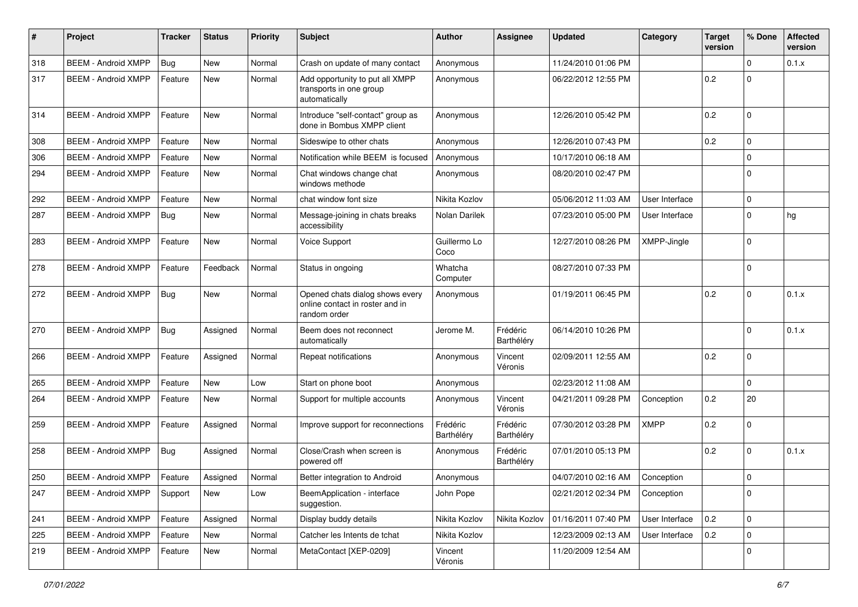| $\#$ | Project                    | <b>Tracker</b> | <b>Status</b> | <b>Priority</b> | <b>Subject</b>                                                                     | Author                 | <b>Assignee</b>        | <b>Updated</b>      | Category       | <b>Target</b><br>version | % Done      | <b>Affected</b><br>version |
|------|----------------------------|----------------|---------------|-----------------|------------------------------------------------------------------------------------|------------------------|------------------------|---------------------|----------------|--------------------------|-------------|----------------------------|
| 318  | <b>BEEM - Android XMPP</b> | <b>Bug</b>     | <b>New</b>    | Normal          | Crash on update of many contact                                                    | Anonymous              |                        | 11/24/2010 01:06 PM |                |                          | $\Omega$    | 0.1.x                      |
| 317  | <b>BEEM - Android XMPP</b> | Feature        | New           | Normal          | Add opportunity to put all XMPP<br>transports in one group<br>automatically        | Anonymous              |                        | 06/22/2012 12:55 PM |                | 0.2                      | $\Omega$    |                            |
| 314  | <b>BEEM - Android XMPP</b> | Feature        | <b>New</b>    | Normal          | Introduce "self-contact" group as<br>done in Bombus XMPP client                    | Anonymous              |                        | 12/26/2010 05:42 PM |                | 0.2                      | $\Omega$    |                            |
| 308  | <b>BEEM - Android XMPP</b> | Feature        | <b>New</b>    | Normal          | Sideswipe to other chats                                                           | Anonymous              |                        | 12/26/2010 07:43 PM |                | 0.2                      | $\mathbf 0$ |                            |
| 306  | <b>BEEM - Android XMPP</b> | Feature        | <b>New</b>    | Normal          | Notification while BEEM is focused                                                 | Anonymous              |                        | 10/17/2010 06:18 AM |                |                          | $\Omega$    |                            |
| 294  | <b>BEEM - Android XMPP</b> | Feature        | <b>New</b>    | Normal          | Chat windows change chat<br>windows methode                                        | Anonymous              |                        | 08/20/2010 02:47 PM |                |                          | $\Omega$    |                            |
| 292  | <b>BEEM - Android XMPP</b> | Feature        | <b>New</b>    | Normal          | chat window font size                                                              | Nikita Kozlov          |                        | 05/06/2012 11:03 AM | User Interface |                          | $\mathbf 0$ |                            |
| 287  | <b>BEEM - Android XMPP</b> | <b>Bug</b>     | New           | Normal          | Message-joining in chats breaks<br>accessibility                                   | Nolan Darilek          |                        | 07/23/2010 05:00 PM | User Interface |                          | $\Omega$    | hg                         |
| 283  | <b>BEEM - Android XMPP</b> | Feature        | <b>New</b>    | Normal          | Voice Support                                                                      | Guillermo Lo<br>Coco   |                        | 12/27/2010 08:26 PM | XMPP-Jingle    |                          | $\Omega$    |                            |
| 278  | <b>BEEM - Android XMPP</b> | Feature        | Feedback      | Normal          | Status in ongoing                                                                  | Whatcha<br>Computer    |                        | 08/27/2010 07:33 PM |                |                          | $\Omega$    |                            |
| 272  | <b>BEEM - Android XMPP</b> | <b>Bug</b>     | New           | Normal          | Opened chats dialog shows every<br>online contact in roster and in<br>random order | Anonymous              |                        | 01/19/2011 06:45 PM |                | 0.2                      | $\Omega$    | 0.1.x                      |
| 270  | <b>BEEM - Android XMPP</b> | <b>Bug</b>     | Assigned      | Normal          | Beem does not reconnect<br>automatically                                           | Jerome M.              | Frédéric<br>Barthéléry | 06/14/2010 10:26 PM |                |                          | $\Omega$    | 0.1.x                      |
| 266  | <b>BEEM - Android XMPP</b> | Feature        | Assigned      | Normal          | Repeat notifications                                                               | Anonymous              | Vincent<br>Véronis     | 02/09/2011 12:55 AM |                | 0.2                      | $\Omega$    |                            |
| 265  | <b>BEEM - Android XMPP</b> | Feature        | <b>New</b>    | Low             | Start on phone boot                                                                | Anonymous              |                        | 02/23/2012 11:08 AM |                |                          | $\Omega$    |                            |
| 264  | <b>BEEM - Android XMPP</b> | Feature        | <b>New</b>    | Normal          | Support for multiple accounts                                                      | Anonymous              | Vincent<br>Véronis     | 04/21/2011 09:28 PM | Conception     | 0.2                      | 20          |                            |
| 259  | <b>BEEM - Android XMPP</b> | Feature        | Assigned      | Normal          | Improve support for reconnections                                                  | Frédéric<br>Barthéléry | Frédéric<br>Barthéléry | 07/30/2012 03:28 PM | XMPP           | 0.2                      | $\Omega$    |                            |
| 258  | <b>BEEM - Android XMPP</b> | <b>Bug</b>     | Assigned      | Normal          | Close/Crash when screen is<br>powered off                                          | Anonymous              | Frédéric<br>Barthéléry | 07/01/2010 05:13 PM |                | 0.2                      | $\Omega$    | 0.1.x                      |
| 250  | <b>BEEM - Android XMPP</b> | Feature        | Assigned      | Normal          | Better integration to Android                                                      | Anonymous              |                        | 04/07/2010 02:16 AM | Conception     |                          | $\Omega$    |                            |
| 247  | <b>BEEM - Android XMPP</b> | Support        | New           | Low             | BeemApplication - interface<br>suggestion.                                         | John Pope              |                        | 02/21/2012 02:34 PM | Conception     |                          | $\mathbf 0$ |                            |
| 241  | <b>BEEM - Android XMPP</b> | Feature        | Assigned      | Normal          | Display buddy details                                                              | Nikita Kozlov          | Nikita Kozlov          | 01/16/2011 07:40 PM | User Interface | 0.2                      | $\mathbf 0$ |                            |
| 225  | <b>BEEM - Android XMPP</b> | Feature        | New           | Normal          | Catcher les Intents de tchat                                                       | Nikita Kozlov          |                        | 12/23/2009 02:13 AM | User Interface | 0.2                      | $\mathbf 0$ |                            |
| 219  | <b>BEEM - Android XMPP</b> | Feature        | New           | Normal          | MetaContact [XEP-0209]                                                             | Vincent<br>Véronis     |                        | 11/20/2009 12:54 AM |                |                          | $\mathbf 0$ |                            |